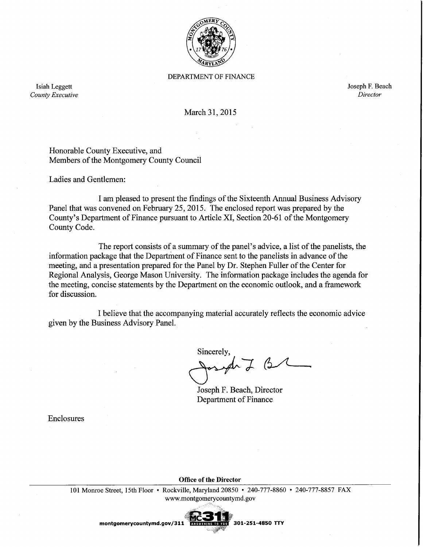

DEPARTMENT OF FINANCE

Isiah Leggett County Executive Joseph F. Beach Director

March 31, 2015

Honorable County Executive, and Members of the Montgomery County Council

Ladies and Gentlemen:

I am pleased to present the findings of the Sixteenth Annual Business Advisory Panel that was convened on February 25, 2015. The enclosed report was prepared by the County's Department of Finance pursuant to Article XI, Section 20-61 of the Montgomery County Code.

The report consists of a summary of the panel's advice, a list of the panelists, the information package that the Department of Finance sent to the panelists in advance of the meeting, and a presentation prepared for the Panel by Dr. Stephen Fuller of the Center for Regional Analysis, George Mason University. The information package includes the agenda for the meeting, concise statements by the Department on the economic outlook, and a framework for discussion.

I believe that the accompanying material accurately reflects the economic advice given by the Business Advisory Panel.

Sincerely,  $ArJ$   $G$ 

Joseph F. Beach, Director Department of Finance

Enclosures

**Office of the Director** 

101 Monroe Street, 15th Floor • Rockville, Maryland 20850 • 240-777-8860 • 240-777-8857 FAX www.montgomerycountymd.gov



montgomerycountymd.gov/311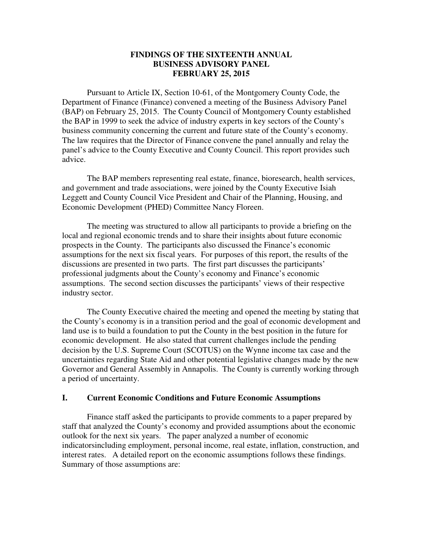### **FINDINGS OF THE SIXTEENTH ANNUAL BUSINESS ADVISORY PANEL FEBRUARY 25, 2015**

 Pursuant to Article IX, Section 10-61, of the Montgomery County Code, the Department of Finance (Finance) convened a meeting of the Business Advisory Panel (BAP) on February 25, 2015. The County Council of Montgomery County established the BAP in 1999 to seek the advice of industry experts in key sectors of the County's business community concerning the current and future state of the County's economy. The law requires that the Director of Finance convene the panel annually and relay the panel's advice to the County Executive and County Council. This report provides such advice.

 The BAP members representing real estate, finance, bioresearch, health services, and government and trade associations, were joined by the County Executive Isiah Leggett and County Council Vice President and Chair of the Planning, Housing, and Economic Development (PHED) Committee Nancy Floreen.

The meeting was structured to allow all participants to provide a briefing on the local and regional economic trends and to share their insights about future economic prospects in the County. The participants also discussed the Finance's economic assumptions for the next six fiscal years. For purposes of this report, the results of the discussions are presented in two parts. The first part discusses the participants' professional judgments about the County's economy and Finance's economic assumptions. The second section discusses the participants' views of their respective industry sector.

The County Executive chaired the meeting and opened the meeting by stating that the County's economy is in a transition period and the goal of economic development and land use is to build a foundation to put the County in the best position in the future for economic development. He also stated that current challenges include the pending decision by the U.S. Supreme Court (SCOTUS) on the Wynne income tax case and the uncertainties regarding State Aid and other potential legislative changes made by the new Governor and General Assembly in Annapolis. The County is currently working through a period of uncertainty.

### **I. Current Economic Conditions and Future Economic Assumptions**

Finance staff asked the participants to provide comments to a paper prepared by staff that analyzed the County's economy and provided assumptions about the economic outlook for the next six years. The paper analyzed a number of economic indicatorsincluding employment, personal income, real estate, inflation, construction, and interest rates. A detailed report on the economic assumptions follows these findings. Summary of those assumptions are: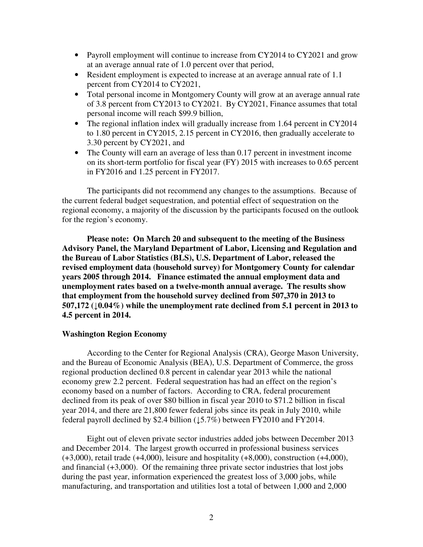- Payroll employment will continue to increase from CY2014 to CY2021 and grow at an average annual rate of 1.0 percent over that period,
- Resident employment is expected to increase at an average annual rate of 1.1 percent from CY2014 to CY2021,
- Total personal income in Montgomery County will grow at an average annual rate of 3.8 percent from CY2013 to CY2021. By CY2021, Finance assumes that total personal income will reach \$99.9 billion,
- The regional inflation index will gradually increase from 1.64 percent in CY2014 to 1.80 percent in CY2015, 2.15 percent in CY2016, then gradually accelerate to 3.30 percent by CY2021, and
- The County will earn an average of less than 0.17 percent in investment income on its short-term portfolio for fiscal year (FY) 2015 with increases to 0.65 percent in FY2016 and 1.25 percent in FY2017.

The participants did not recommend any changes to the assumptions. Because of the current federal budget sequestration, and potential effect of sequestration on the regional economy, a majority of the discussion by the participants focused on the outlook for the region's economy.

**Please note: On March 20 and subsequent to the meeting of the Business Advisory Panel, the Maryland Department of Labor, Licensing and Regulation and the Bureau of Labor Statistics (BLS), U.S. Department of Labor, released the revised employment data (household survey) for Montgomery County for calendar years 2005 through 2014. Finance estimated the annual employment data and unemployment rates based on a twelve-month annual average. The results show that employment from the household survey declined from 507,370 in 2013 to 507,172 (**↓**0.04%) while the unemployment rate declined from 5.1 percent in 2013 to 4.5 percent in 2014.** 

### **Washington Region Economy**

According to the Center for Regional Analysis (CRA), George Mason University, and the Bureau of Economic Analysis (BEA), U.S. Department of Commerce, the gross regional production declined 0.8 percent in calendar year 2013 while the national economy grew 2.2 percent. Federal sequestration has had an effect on the region's economy based on a number of factors. According to CRA, federal procurement declined from its peak of over \$80 billion in fiscal year 2010 to \$71.2 billion in fiscal year 2014, and there are 21,800 fewer federal jobs since its peak in July 2010, while federal payroll declined by \$2.4 billion  $(15.7%)$  between FY2010 and FY2014.

Eight out of eleven private sector industries added jobs between December 2013 and December 2014. The largest growth occurred in professional business services (+3,000), retail trade (+4,000), leisure and hospitality (+8,000), construction (+4,000), and financial (+3,000). Of the remaining three private sector industries that lost jobs during the past year, information experienced the greatest loss of 3,000 jobs, while manufacturing, and transportation and utilities lost a total of between 1,000 and 2,000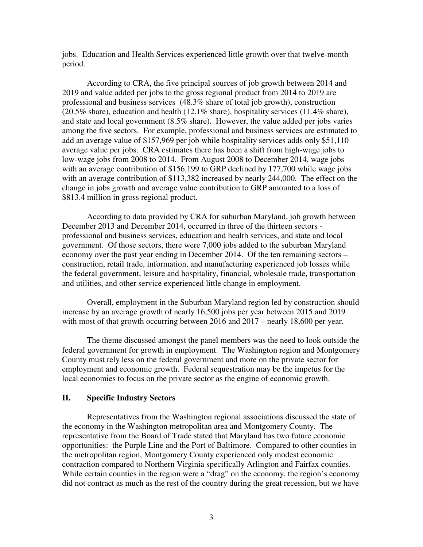jobs. Education and Health Services experienced little growth over that twelve-month period.

According to CRA, the five principal sources of job growth between 2014 and 2019 and value added per jobs to the gross regional product from 2014 to 2019 are professional and business services (48.3% share of total job growth), construction (20.5% share), education and health (12.1% share), hospitality services (11.4% share), and state and local government (8.5% share). However, the value added per jobs varies among the five sectors. For example, professional and business services are estimated to add an average value of \$157,969 per job while hospitality services adds only \$51,110 average value per jobs. CRA estimates there has been a shift from high-wage jobs to low-wage jobs from 2008 to 2014. From August 2008 to December 2014, wage jobs with an average contribution of \$156,199 to GRP declined by 177,700 while wage jobs with an average contribution of \$113,382 increased by nearly 244,000. The effect on the change in jobs growth and average value contribution to GRP amounted to a loss of \$813.4 million in gross regional product.

According to data provided by CRA for suburban Maryland, job growth between December 2013 and December 2014, occurred in three of the thirteen sectors professional and business services, education and health services, and state and local government. Of those sectors, there were 7,000 jobs added to the suburban Maryland economy over the past year ending in December 2014. Of the ten remaining sectors – construction, retail trade, information, and manufacturing experienced job losses while the federal government, leisure and hospitality, financial, wholesale trade, transportation and utilities, and other service experienced little change in employment.

Overall, employment in the Suburban Maryland region led by construction should increase by an average growth of nearly 16,500 jobs per year between 2015 and 2019 with most of that growth occurring between 2016 and 2017 – nearly 18,600 per year.

The theme discussed amongst the panel members was the need to look outside the federal government for growth in employment. The Washington region and Montgomery County must rely less on the federal government and more on the private sector for employment and economic growth. Federal sequestration may be the impetus for the local economies to focus on the private sector as the engine of economic growth.

### **II. Specific Industry Sectors**

Representatives from the Washington regional associations discussed the state of the economy in the Washington metropolitan area and Montgomery County. The representative from the Board of Trade stated that Maryland has two future economic opportunities: the Purple Line and the Port of Baltimore. Compared to other counties in the metropolitan region, Montgomery County experienced only modest economic contraction compared to Northern Virginia specifically Arlington and Fairfax counties. While certain counties in the region were a "drag" on the economy, the region's economy did not contract as much as the rest of the country during the great recession, but we have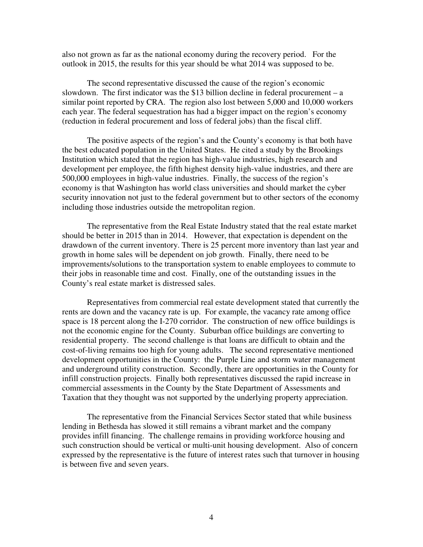also not grown as far as the national economy during the recovery period. For the outlook in 2015, the results for this year should be what 2014 was supposed to be.

The second representative discussed the cause of the region's economic slowdown. The first indicator was the \$13 billion decline in federal procurement – a similar point reported by CRA. The region also lost between 5,000 and 10,000 workers each year. The federal sequestration has had a bigger impact on the region's economy (reduction in federal procurement and loss of federal jobs) than the fiscal cliff.

The positive aspects of the region's and the County's economy is that both have the best educated population in the United States. He cited a study by the Brookings Institution which stated that the region has high-value industries, high research and development per employee, the fifth highest density high-value industries, and there are 500,000 employees in high-value industries. Finally, the success of the region's economy is that Washington has world class universities and should market the cyber security innovation not just to the federal government but to other sectors of the economy including those industries outside the metropolitan region.

The representative from the Real Estate Industry stated that the real estate market should be better in 2015 than in 2014. However, that expectation is dependent on the drawdown of the current inventory. There is 25 percent more inventory than last year and growth in home sales will be dependent on job growth. Finally, there need to be improvements/solutions to the transportation system to enable employees to commute to their jobs in reasonable time and cost. Finally, one of the outstanding issues in the County's real estate market is distressed sales.

Representatives from commercial real estate development stated that currently the rents are down and the vacancy rate is up. For example, the vacancy rate among office space is 18 percent along the I-270 corridor. The construction of new office buildings is not the economic engine for the County. Suburban office buildings are converting to residential property. The second challenge is that loans are difficult to obtain and the cost-of-living remains too high for young adults. The second representative mentioned development opportunities in the County: the Purple Line and storm water management and underground utility construction. Secondly, there are opportunities in the County for infill construction projects. Finally both representatives discussed the rapid increase in commercial assessments in the County by the State Department of Assessments and Taxation that they thought was not supported by the underlying property appreciation.

The representative from the Financial Services Sector stated that while business lending in Bethesda has slowed it still remains a vibrant market and the company provides infill financing. The challenge remains in providing workforce housing and such construction should be vertical or multi-unit housing development. Also of concern expressed by the representative is the future of interest rates such that turnover in housing is between five and seven years.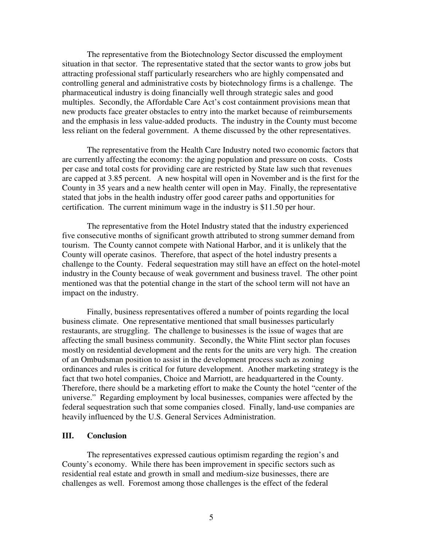The representative from the Biotechnology Sector discussed the employment situation in that sector. The representative stated that the sector wants to grow jobs but attracting professional staff particularly researchers who are highly compensated and controlling general and administrative costs by biotechnology firms is a challenge. The pharmaceutical industry is doing financially well through strategic sales and good multiples. Secondly, the Affordable Care Act's cost containment provisions mean that new products face greater obstacles to entry into the market because of reimbursements and the emphasis in less value-added products. The industry in the County must become less reliant on the federal government. A theme discussed by the other representatives.

The representative from the Health Care Industry noted two economic factors that are currently affecting the economy: the aging population and pressure on costs. Costs per case and total costs for providing care are restricted by State law such that revenues are capped at 3.85 percent. A new hospital will open in November and is the first for the County in 35 years and a new health center will open in May. Finally, the representative stated that jobs in the health industry offer good career paths and opportunities for certification. The current minimum wage in the industry is \$11.50 per hour.

The representative from the Hotel Industry stated that the industry experienced five consecutive months of significant growth attributed to strong summer demand from tourism. The County cannot compete with National Harbor, and it is unlikely that the County will operate casinos. Therefore, that aspect of the hotel industry presents a challenge to the County. Federal sequestration may still have an effect on the hotel-motel industry in the County because of weak government and business travel. The other point mentioned was that the potential change in the start of the school term will not have an impact on the industry.

Finally, business representatives offered a number of points regarding the local business climate. One representative mentioned that small businesses particularly restaurants, are struggling. The challenge to businesses is the issue of wages that are affecting the small business community. Secondly, the White Flint sector plan focuses mostly on residential development and the rents for the units are very high. The creation of an Ombudsman position to assist in the development process such as zoning ordinances and rules is critical for future development. Another marketing strategy is the fact that two hotel companies, Choice and Marriott, are headquartered in the County. Therefore, there should be a marketing effort to make the County the hotel "center of the universe." Regarding employment by local businesses, companies were affected by the federal sequestration such that some companies closed. Finally, land-use companies are heavily influenced by the U.S. General Services Administration.

### **III. Conclusion**

The representatives expressed cautious optimism regarding the region's and County's economy. While there has been improvement in specific sectors such as residential real estate and growth in small and medium-size businesses, there are challenges as well. Foremost among those challenges is the effect of the federal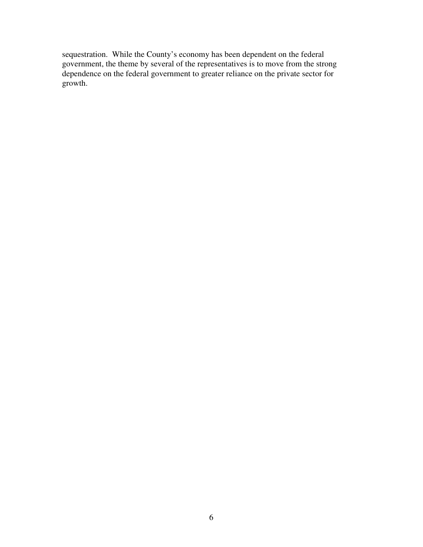sequestration. While the County's economy has been dependent on the federal government, the theme by several of the representatives is to move from the strong dependence on the federal government to greater reliance on the private sector for growth.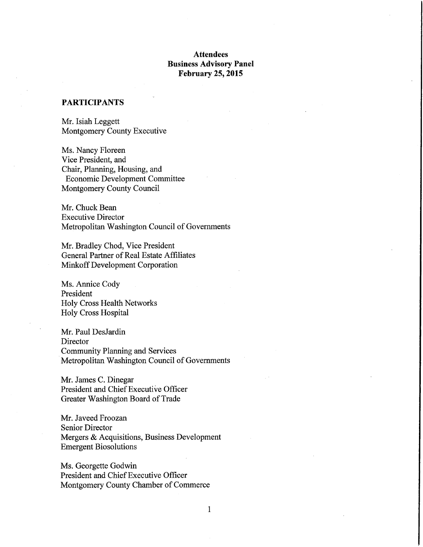### **Attendees Business Advisory Panel February 25, 2015**

### **PARTICIPANTS**

Mr. Isiah Leggett Montgomery County Executive

Ms. Nancy Floreen Vice President, and Chair, Planning, Housing, and Economic Development Committee Montgomery County Council

Mr. Chuck Bean **Executive Director** Metropolitan Washington Council of Governments

Mr. Bradley Chod, Vice President General Partner of Real Estate Affiliates Minkoff Development Corporation

Ms. Annice Cody President Holy Cross Health Networks Holy Cross Hospital

Mr. Paul DesJardin Director **Community Planning and Services** Metropolitan Washington Council of Governments

Mr. James C. Dinegar President and Chief Executive Officer Greater Washington Board of Trade

Mr. Javeed Froozan **Senior Director** Mergers & Acquisitions, Business Development **Emergent Biosolutions** 

Ms. Georgette Godwin President and Chief Executive Officer Montgomery County Chamber of Commerce

 $\mathbf{1}$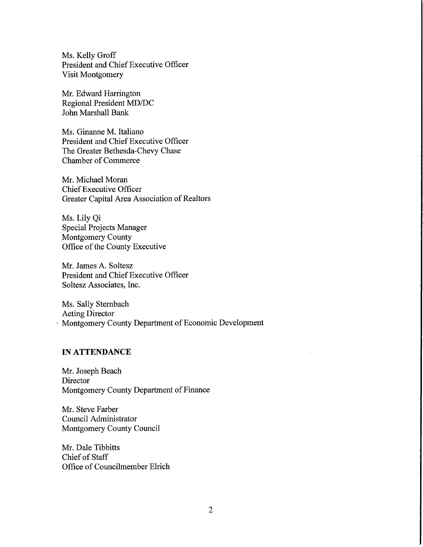Ms. Kelly Groff President and Chief Executive Officer Visit Montgomery

Mr. Edward Harrington Regional President MD/DC John Marshall Bank

Ms. Ginanne M. Italiano President and Chief Executive Officer The Greater Bethesda-Chevy Chase **Chamber of Commerce** 

Mr. Michael Moran **Chief Executive Officer Greater Capital Area Association of Realtors** 

Ms. Lily Qi **Special Projects Manager** Montgomery County Office of the County Executive

Mr. James A. Soltesz President and Chief Executive Officer Soltesz Associates, Inc.

Ms. Sally Sternbach **Acting Director** Montgomery County Department of Economic Development

### **IN ATTENDANCE**

Mr. Joseph Beach Director Montgomery County Department of Finance

Mr. Steve Farber Council Administrator Montgomery County Council

Mr. Dale Tibbitts Chief of Staff Office of Councilmember Elrich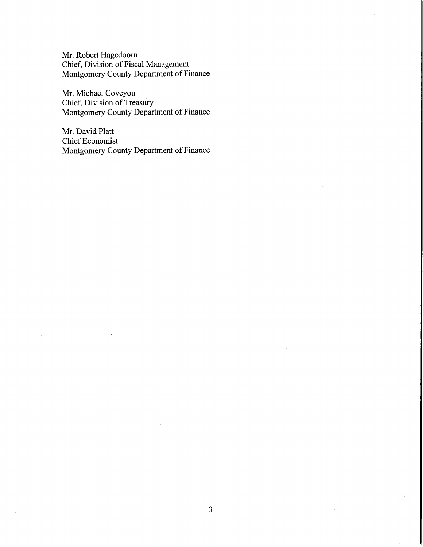Mr. Robert Hagedoorn Chief, Division of Fiscal Management Montgomery County Department of Finance

Mr. Michael Coveyou Chief, Division of Treasury Montgomery County Department of Finance

Mr. David Platt **Chief Economist** Montgomery County Department of Finance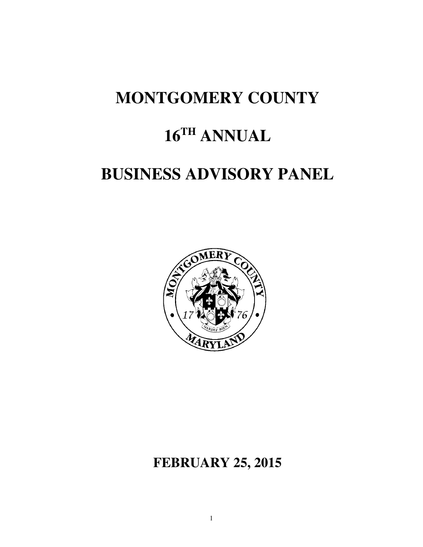### **MONTGOMERY COUNTY**

### **16TH ANNUAL**

### **BUSINESS ADVISORY PANEL**



### **FEBRUARY 25, 2015**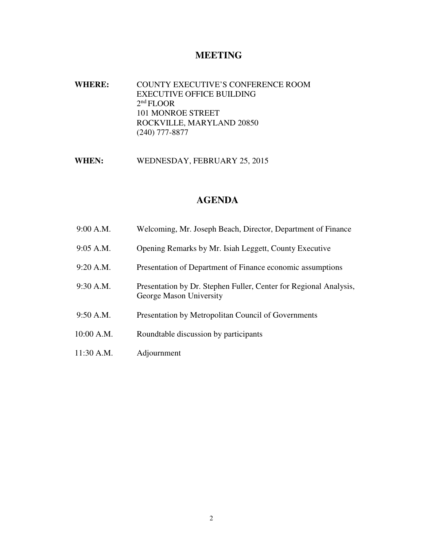### **MEETING**

**WHERE:** COUNTY EXECUTIVE'S CONFERENCE ROOM EXECUTIVE OFFICE BUILDING 2nd FLOOR 101 MONROE STREET ROCKVILLE, MARYLAND 20850 (240) 777-8877

WHEN: WEDNESDAY, FEBRUARY 25, 2015

### **AGENDA**

| 9:00 A.M.    | Welcoming, Mr. Joseph Beach, Director, Department of Finance                                 |
|--------------|----------------------------------------------------------------------------------------------|
| $9:05$ A.M.  | Opening Remarks by Mr. Isiah Leggett, County Executive                                       |
| $9:20$ A.M.  | Presentation of Department of Finance economic assumptions                                   |
| $9:30$ A.M.  | Presentation by Dr. Stephen Fuller, Center for Regional Analysis,<br>George Mason University |
| 9:50 A.M.    | Presentation by Metropolitan Council of Governments                                          |
| 10:00 A.M.   | Roundtable discussion by participants                                                        |
| $11:30$ A.M. | Adjournment                                                                                  |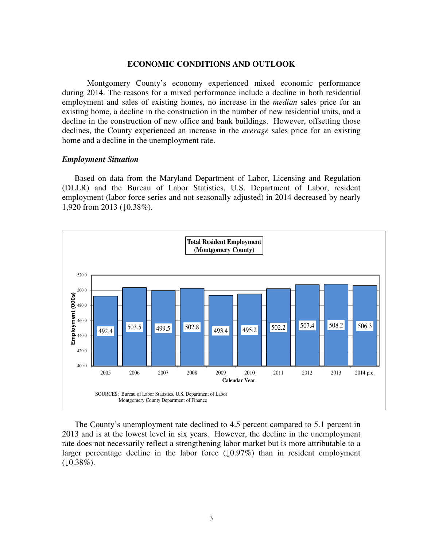#### **ECONOMIC CONDITIONS AND OUTLOOK**

Montgomery County's economy experienced mixed economic performance during 2014. The reasons for a mixed performance include a decline in both residential employment and sales of existing homes, no increase in the *median* sales price for an existing home, a decline in the construction in the number of new residential units, and a decline in the construction of new office and bank buildings. However, offsetting those declines, the County experienced an increase in the *average* sales price for an existing home and a decline in the unemployment rate.

#### *Employment Situation*

Based on data from the Maryland Department of Labor, Licensing and Regulation (DLLR) and the Bureau of Labor Statistics, U.S. Department of Labor, resident employment (labor force series and not seasonally adjusted) in 2014 decreased by nearly 1,920 from 2013 ( $\downarrow$ 0.38%).



The County's unemployment rate declined to 4.5 percent compared to 5.1 percent in 2013 and is at the lowest level in six years. However, the decline in the unemployment rate does not necessarily reflect a strengthening labor market but is more attributable to a larger percentage decline in the labor force  $(10.97%)$  than in resident employment  $(10.38\%).$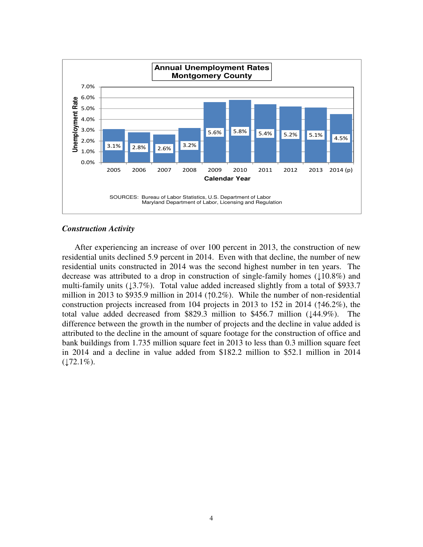

### *Construction Activity*

After experiencing an increase of over 100 percent in 2013, the construction of new residential units declined 5.9 percent in 2014. Even with that decline, the number of new residential units constructed in 2014 was the second highest number in ten years. The decrease was attributed to a drop in construction of single-family homes ( $\downarrow$ 10.8%) and multi-family units ( $\downarrow$ 3.7%). Total value added increased slightly from a total of \$933.7 million in 2013 to \$935.9 million in 2014 (↑0.2%). While the number of non-residential construction projects increased from 104 projects in 2013 to 152 in 2014 (↑46.2%), the total value added decreased from \$829.3 million to \$456.7 million ( $\downarrow$ 44.9%). The difference between the growth in the number of projects and the decline in value added is attributed to the decline in the amount of square footage for the construction of office and bank buildings from 1.735 million square feet in 2013 to less than 0.3 million square feet in 2014 and a decline in value added from \$182.2 million to \$52.1 million in 2014  $(172.1\%)$ .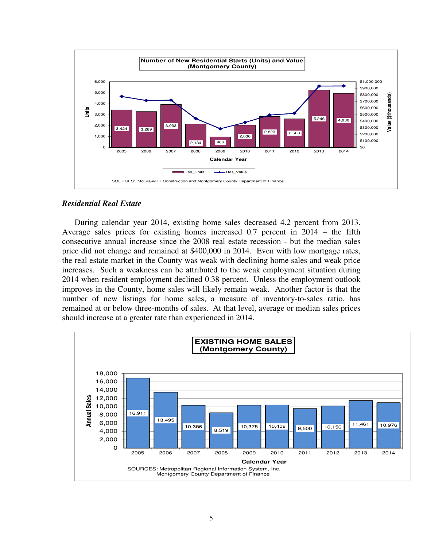

### *Residential Real Estate*

During calendar year 2014, existing home sales decreased 4.2 percent from 2013. Average sales prices for existing homes increased 0.7 percent in 2014 – the fifth consecutive annual increase since the 2008 real estate recession - but the median sales price did not change and remained at \$400,000 in 2014. Even with low mortgage rates, the real estate market in the County was weak with declining home sales and weak price increases. Such a weakness can be attributed to the weak employment situation during 2014 when resident employment declined 0.38 percent. Unless the employment outlook improves in the County, home sales will likely remain weak. Another factor is that the number of new listings for home sales, a measure of inventory-to-sales ratio, has remained at or below three-months of sales. At that level, average or median sales prices should increase at a greater rate than experienced in 2014.

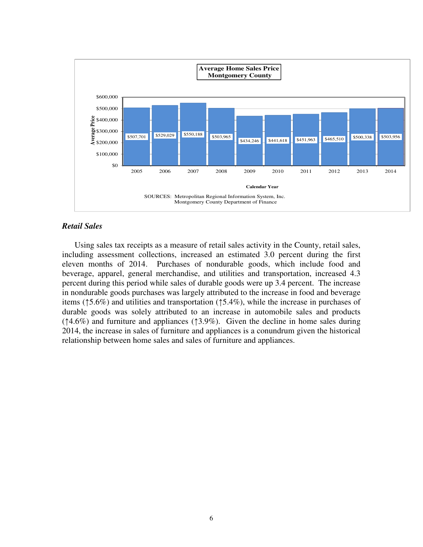

### *Retail Sales*

Using sales tax receipts as a measure of retail sales activity in the County, retail sales, including assessment collections, increased an estimated 3.0 percent during the first eleven months of 2014. Purchases of nondurable goods, which include food and beverage, apparel, general merchandise, and utilities and transportation, increased 4.3 percent during this period while sales of durable goods were up 3.4 percent. The increase in nondurable goods purchases was largely attributed to the increase in food and beverage items (↑5.6%) and utilities and transportation (↑5.4%), while the increase in purchases of durable goods was solely attributed to an increase in automobile sales and products (↑4.6%) and furniture and appliances (↑3.9%). Given the decline in home sales during 2014, the increase in sales of furniture and appliances is a conundrum given the historical relationship between home sales and sales of furniture and appliances.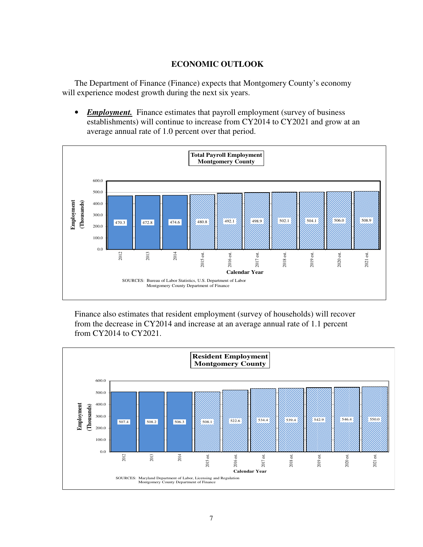### **ECONOMIC OUTLOOK**

The Department of Finance (Finance) expects that Montgomery County's economy will experience modest growth during the next six years.

• *Employment.* Finance estimates that payroll employment (survey of business establishments) will continue to increase from CY2014 to CY2021 and grow at an average annual rate of 1.0 percent over that period.



Finance also estimates that resident employment (survey of households) will recover from the decrease in CY2014 and increase at an average annual rate of 1.1 percent from CY2014 to CY2021.

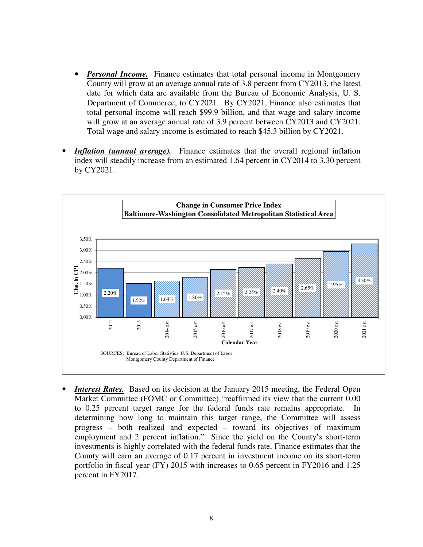- *Personal Income.* Finance estimates that total personal income in Montgomery County will grow at an average annual rate of 3.8 percent from CY2013, the latest date for which data are available from the Bureau of Economic Analysis, U. S. Department of Commerce, to CY2021. By CY2021, Finance also estimates that total personal income will reach \$99.9 billion, and that wage and salary income will grow at an average annual rate of 3.9 percent between CY2013 and CY2021. Total wage and salary income is estimated to reach \$45.3 billion by CY2021.
- **Inflation (annual average).** Finance estimates that the overall regional inflation index will steadily increase from an estimated 1.64 percent in CY2014 to 3.30 percent by CY2021.



*Interest Rates.* Based on its decision at the January 2015 meeting, the Federal Open Market Committee (FOMC or Committee) "reaffirmed its view that the current 0.00 to 0.25 percent target range for the federal funds rate remains appropriate. In determining how long to maintain this target range, the Committee will assess progress – both realized and expected – toward its objectives of maximum employment and 2 percent inflation." Since the yield on the County's short-term investments is highly correlated with the federal funds rate, Finance estimates that the County will earn an average of 0.17 percent in investment income on its short-term portfolio in fiscal year (FY) 2015 with increases to 0.65 percent in FY2016 and 1.25 percent in FY2017.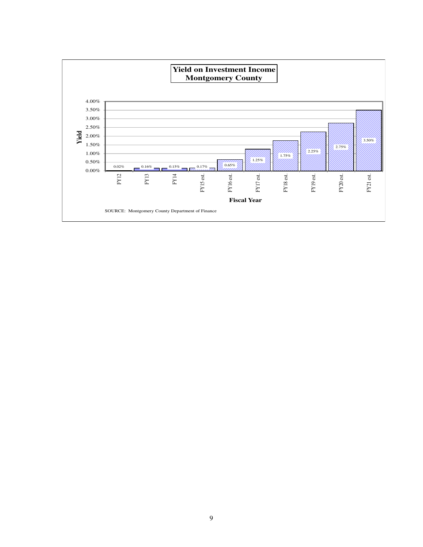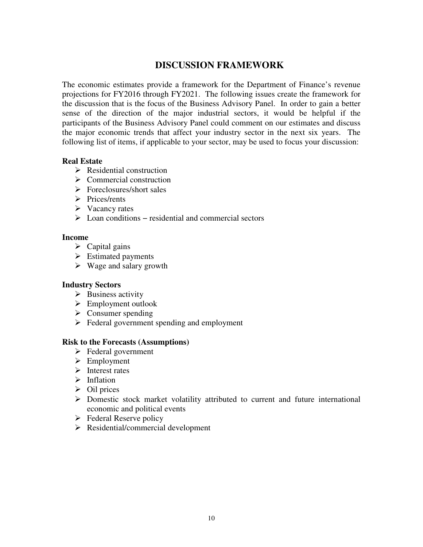### **DISCUSSION FRAMEWORK**

The economic estimates provide a framework for the Department of Finance's revenue projections for FY2016 through FY2021. The following issues create the framework for the discussion that is the focus of the Business Advisory Panel. In order to gain a better sense of the direction of the major industrial sectors, it would be helpful if the participants of the Business Advisory Panel could comment on our estimates and discuss the major economic trends that affect your industry sector in the next six years. The following list of items, if applicable to your sector, may be used to focus your discussion:

### **Real Estate**

- $\triangleright$  Residential construction
- $\triangleright$  Commercial construction
- $\triangleright$  Foreclosures/short sales
- $\triangleright$  Prices/rents
- $\triangleright$  Vacancy rates
- Loan conditions − residential and commercial sectors

### **Income**

- $\triangleright$  Capital gains
- $\triangleright$  Estimated payments
- $\triangleright$  Wage and salary growth

### **Industry Sectors**

- $\triangleright$  Business activity
- $\triangleright$  Employment outlook
- $\triangleright$  Consumer spending
- $\triangleright$  Federal government spending and employment

### **Risk to the Forecasts (Assumptions)**

- $\triangleright$  Federal government
- $\triangleright$  Employment
- $\triangleright$  Interest rates
- $\triangleright$  Inflation
- $\triangleright$  Oil prices
- Domestic stock market volatility attributed to current and future international economic and political events
- $\triangleright$  Federal Reserve policy
- $\triangleright$  Residential/commercial development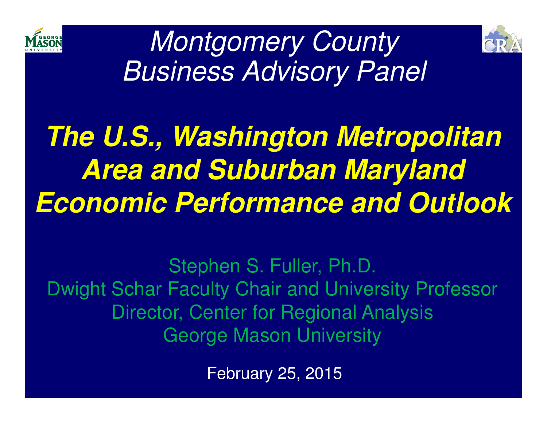



Montgomery CountyBusiness Advisory Panel

## **The U.S., Washington Metropolitan Area and Suburban MarylandEconomic Performance and Outlook**

Stephen S. Fuller, Ph.D.Dwight Schar Faculty Chair and University Professor Director, Center for Regional AnalysisGeorge Mason University

February 25, 2015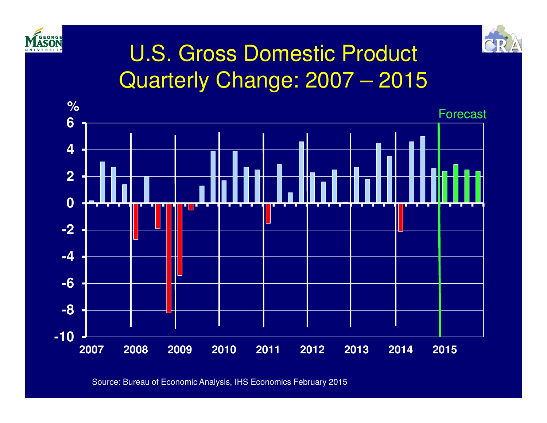



## U.S. Gross Domestic ProductQuarterly Change: 2007 – 2015



Source: Bureau of Economic Analysis, IHS Economics February 2015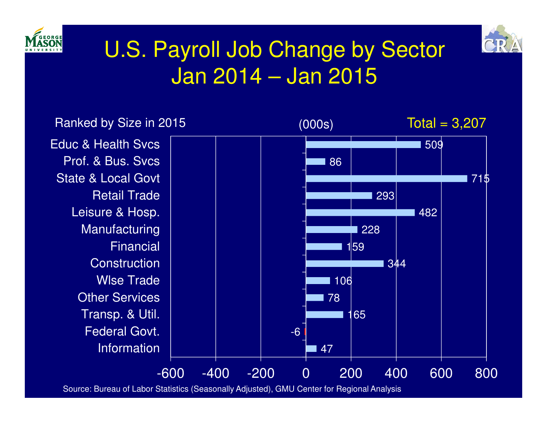



## U.S. Payroll Job Change by SectorJan 2014 – Jan 2015

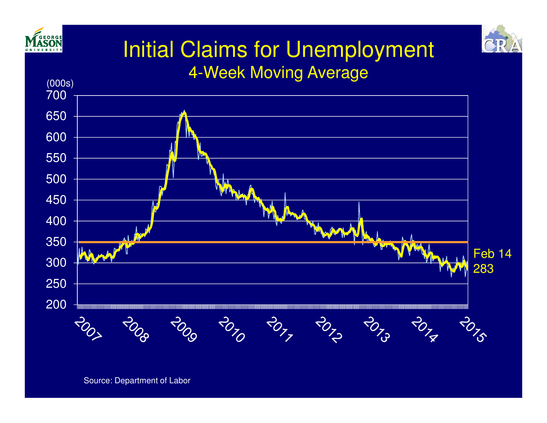



### Initial Claims for Unemployment4-Week Moving Average

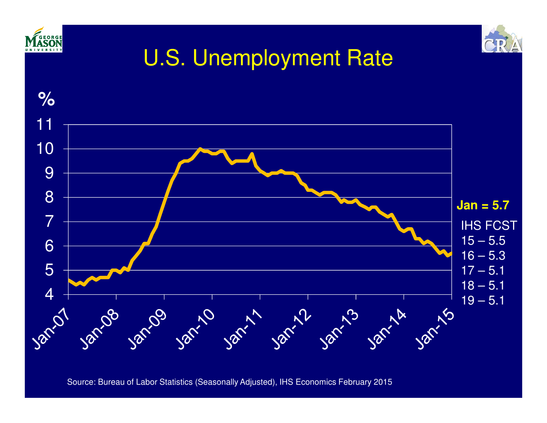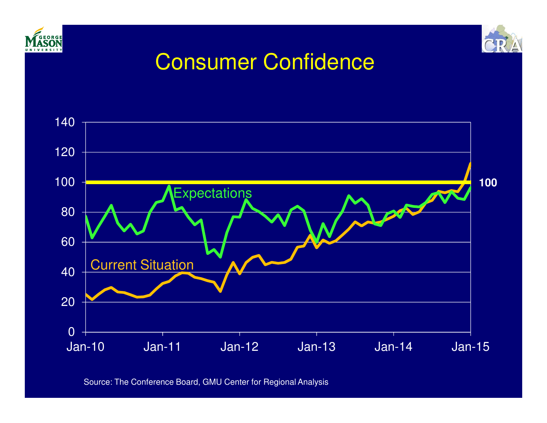



## Consumer Confidence



Source: The Conference Board, GMU Center for Regional Analysis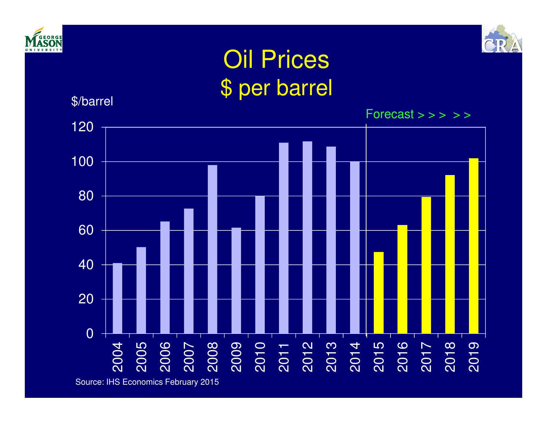



## Oil Prices\$ per barrel

\$/barrel

 2006<br>2008 2010<br>2008 2010<br>2014  $Forecast \gt\gt\gt\gt\gt\gt$ 

Source: IHS Economics February 2015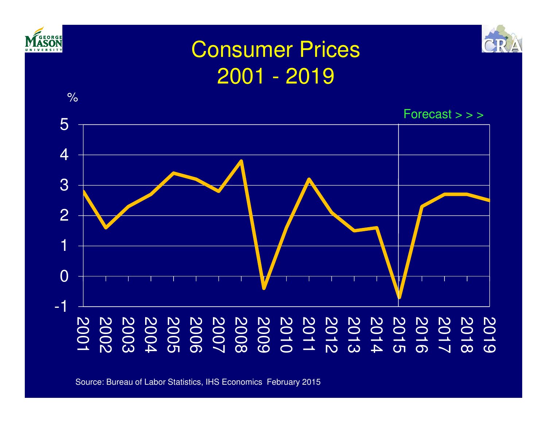

Source: Bureau of Labor Statistics, IHS Economics February 2015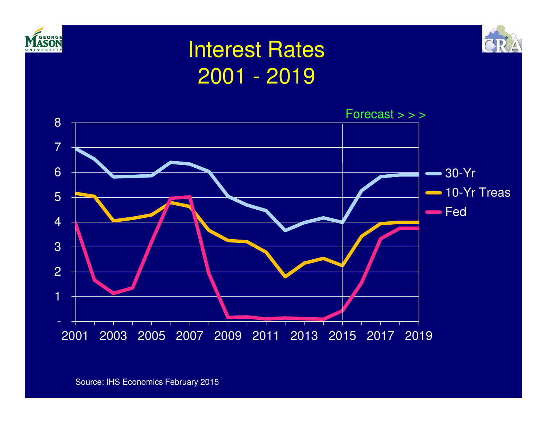



## Interest Rates2001 - 2019

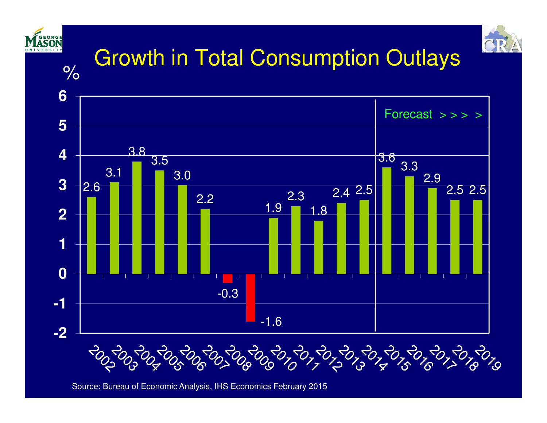

Source: Bureau of Economic Analysis, IHS Economics February 2015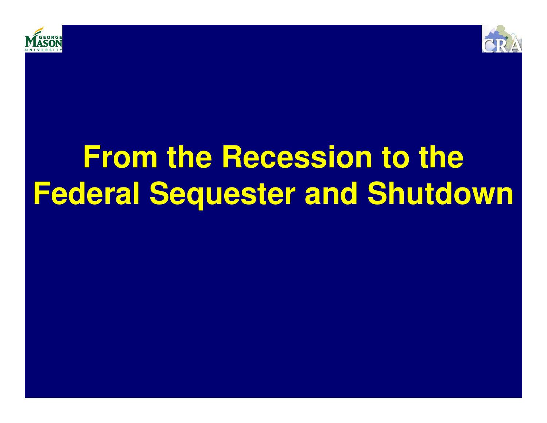



## **From the Recession to the Federal Sequester and Shutdown**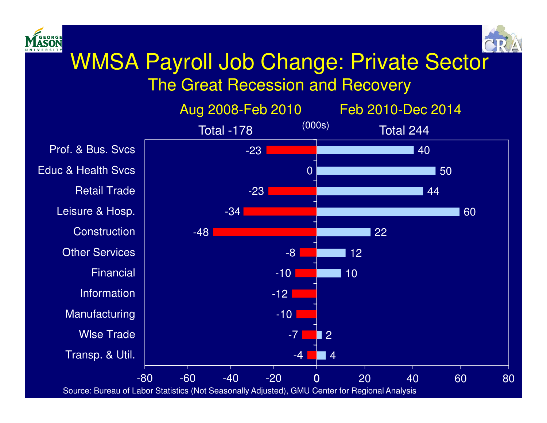



## WMSA Payroll Job Change: Private Sector

The Great Recession and Recovery

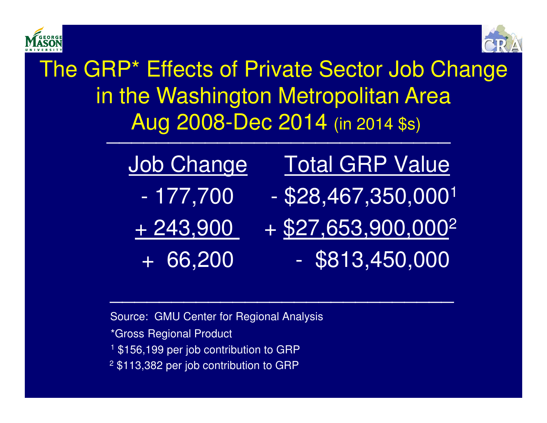



The GRP\* Effects of Private Sector Job Change in the Washington Metropolitan AreaAug 2008-Dec 2014 (in 2014 \$s)

| Job Change        | <b>Total GRP Value</b>            |
|-------------------|-----------------------------------|
| - 177,700         | $-$ \$28,467,350,000 <sup>1</sup> |
| <u> + 243,900</u> | $+$ \$27,653,900,000 <sup>2</sup> |
| $+66,200$         | $-$ \$813,450,000                 |

Source: GMU Center for Regional Analysis\*Gross Regional Product1 \$156,199 per job contribution to GRP2 \$113,382 per job contribution to GRP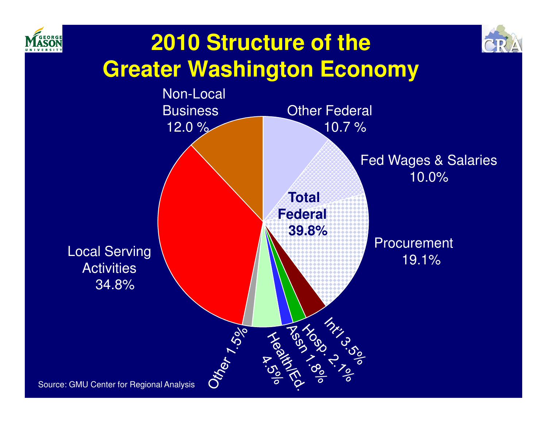



## **2010 Structure of the Greater Washington Economy**

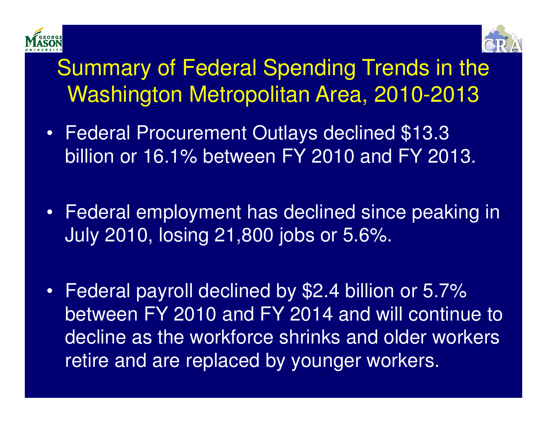



## Summary of Federal Spending Trends in the Washington Metropolitan Area, 2010-2013

- • Federal Procurement Outlays declined \$13.3 billion or 16.1% between FY 2010 and FY 2013.
- Federal employment has declined since peaking in July 2010, losing 21,800 jobs or 5.6%.
- • Federal payroll declined by \$2.4 billion or 5.7% between FY 2010 and FY 2014 and will continue to decline as the workforce shrinks and older workers retire and are replaced by younger workers.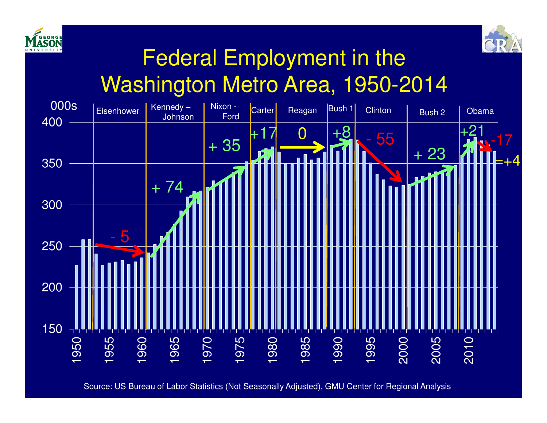



## Federal Employment in theWashington Metro Area, 1950-2014



Source: US Bureau of Labor Statistics (Not Seasonally Adjusted), GMU Center for Regional Analysis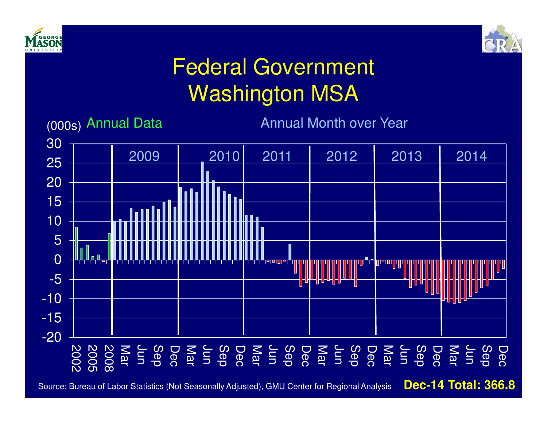



## Federal GovernmentWashington MSA



Source: Bureau of Labor Statistics (Not Seasonally Adjusted), GMU Center for Regional Analysis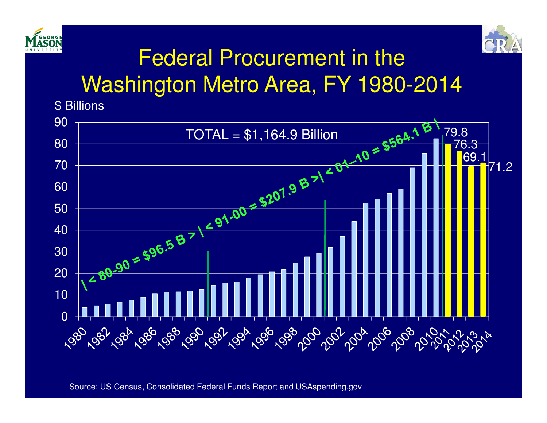



## Federal Procurement in theWashington Metro Area, FY 1980-2014

\$ Billions

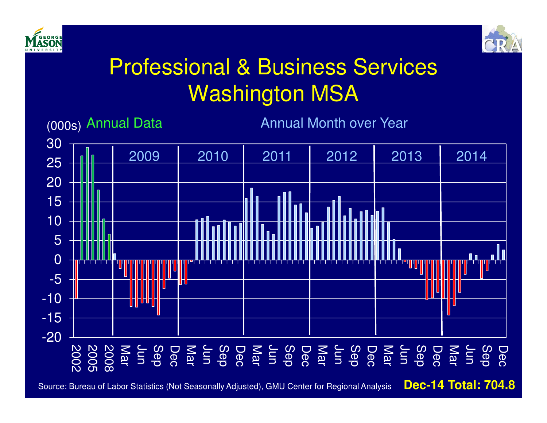



## Professional & Business ServicesWashington MSA



Source: Bureau of Labor Statistics (Not Seasonally Adjusted), GMU Center for Regional Analysis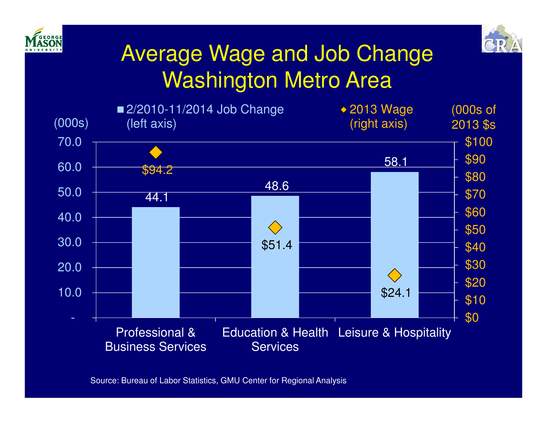



## Average Wage and Job Change Washington Metro Area



Source: Bureau of Labor Statistics, GMU Center for Regional Analysis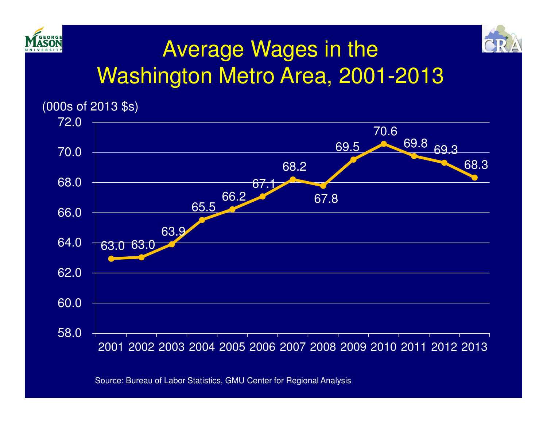



## Average Wages in the Washington Metro Area, 2001-2013



Source: Bureau of Labor Statistics, GMU Center for Regional Analysis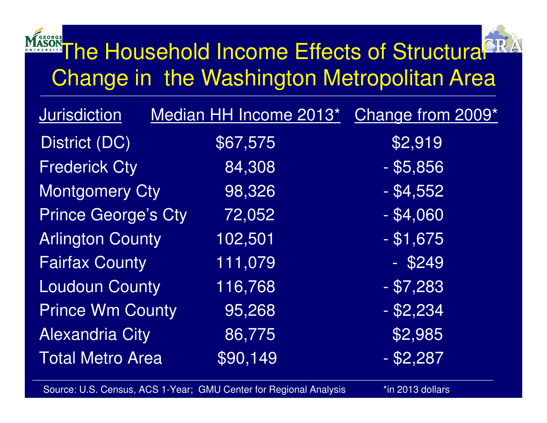## The Household Income Effects of Structural Change in the Washington Metropolitan Area

| <b>Jurisdiction</b>        | Median HH Income 2013* | Change from 2009* |
|----------------------------|------------------------|-------------------|
| District (DC)              | \$67,575               | \$2,919           |
| <b>Frederick Cty</b>       | 84,308                 | $-$ \$5,856       |
| <b>Montgomery Cty</b>      | 98,326                 | $-$ \$4,552       |
| <b>Prince George's Cty</b> | 72,052                 | $- $4,060$        |
| <b>Arlington County</b>    | 102,501                | $-$ \$1,675       |
| <b>Fairfax County</b>      | 111,079                | $-$ \$249         |
| <b>Loudoun County</b>      | 116,768                | $- $7,283$        |
| <b>Prince Wm County</b>    | 95,268                 | $-$ \$2,234       |
| <b>Alexandria City</b>     | 86,775                 | \$2,985           |
| <b>Total Metro Area</b>    | \$90,149               | $-$ \$2,287       |
|                            |                        |                   |

Source: U.S. Census, ACS 1-Year; GMU Center for Regional Analysis \*in 2013 dollars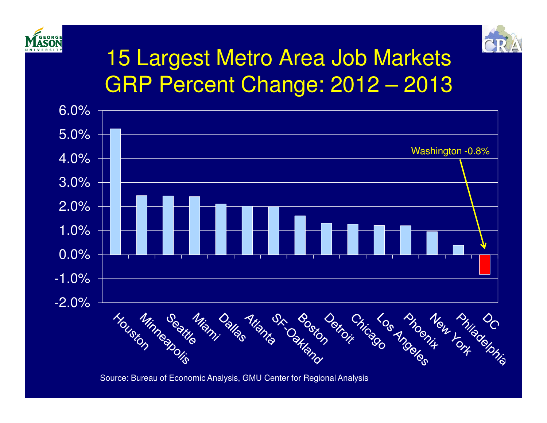



## 15 Largest Metro Area Job MarketsGRP Percent Change: 2012 – 2013



Source: Bureau of Economic Analysis, GMU Center for Regional Analysis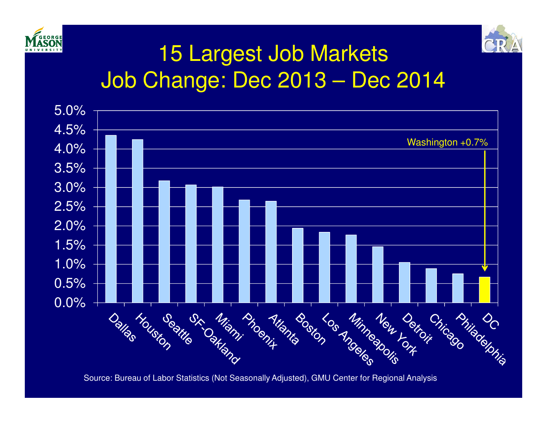



## 15 Largest Job MarketsJob Change: Dec 2013 – Dec 2014



Source: Bureau of Labor Statistics (Not Seasonally Adjusted), GMU Center for Regional Analysis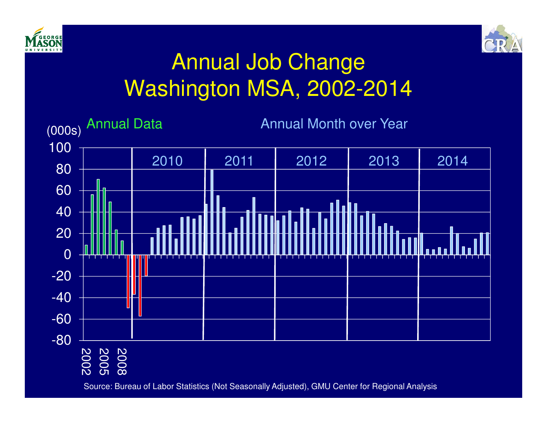



## Annual Job ChangeWashington MSA, 2002-2014

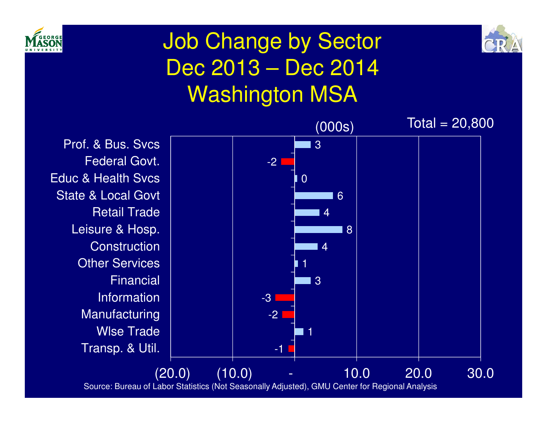



## Job Change by Sector Dec 2013 – Dec 2014Washington MSA

Transp. & Util. Wlse Trade Manufacturing InformationFinancial Other Services **Construction** Leisure & Hosp. Retail TradeState & Local Govt Educ & Health SvcsFederal Govt.Prof. & Bus. Svcs



Source: Bureau of Labor Statistics (Not Seasonally Adjusted), GMU Center for Regional Analysis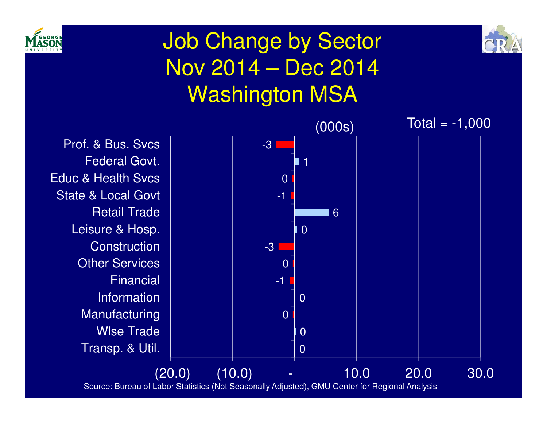



## Job Change by Sector Nov 2014 – Dec 2014Washington MSA

Transp. & Util. Wlse Trade Manufacturing InformationFinancialOther Services **Construction** Leisure & Hosp. Retail TradeState & Local Govt Educ & Health SvcsFederal Govt.Prof. & Bus. Svcs

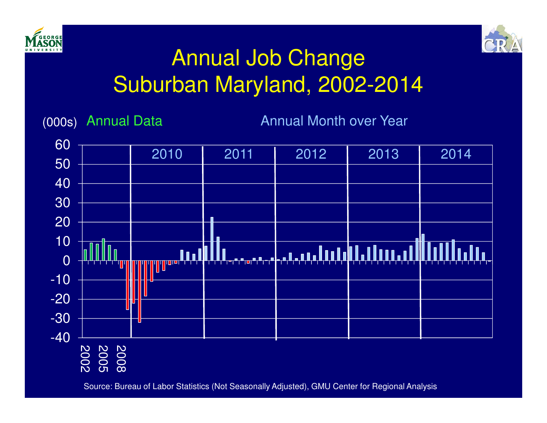



## Annual Job ChangeSuburban Maryland, 2002-2014

(000s)

**Annual Month over Year** 



Source: Bureau of Labor Statistics (Not Seasonally Adjusted), GMU Center for Regional Analysis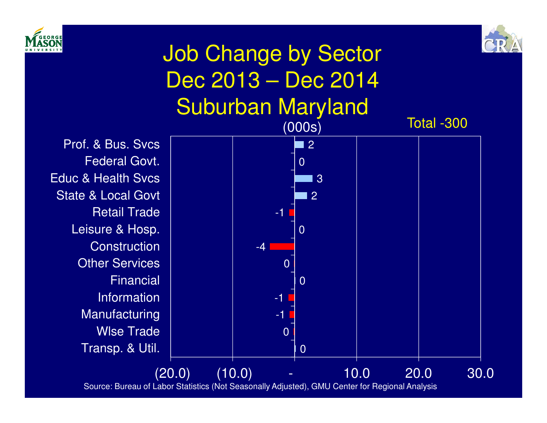



Total -300

## Job Change by Sector Dec 2013 – Dec 2014Suburban Maryland

Transp. & Util. Wlse Trade Manufacturing InformationFinancialOther Services **Construction** Leisure & Hosp. Retail TradeState & Local Govt Educ & Health SvcsFederal Govt.Prof. & Bus. Svcs

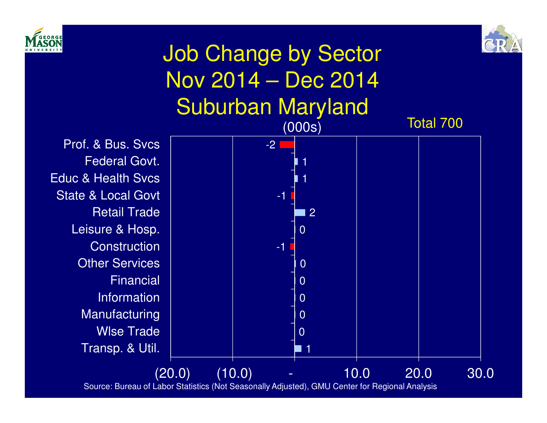



## Job Change by Sector Nov 2014 – Dec 2014Suburban Maryland

Transp. & Util. Wlse Trade Manufacturing InformationFinancial Other Services **Construction** Leisure & Hosp. Retail TradeState & Local Govt Educ & Health SvcsFederal Govt.Prof. & Bus. Svcs



Source: Bureau of Labor Statistics (Not Seasonally Adjusted), GMU Center for Regional Analysis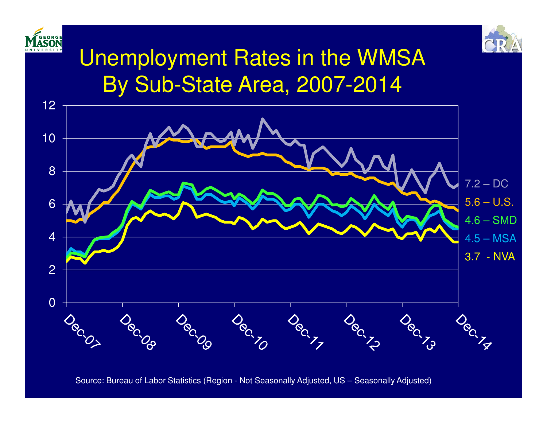



## Unemployment Rates in the WMSABy Sub-State Area, 2007-2014



Source: Bureau of Labor Statistics (Region - Not Seasonally Adjusted, US – Seasonally Adjusted)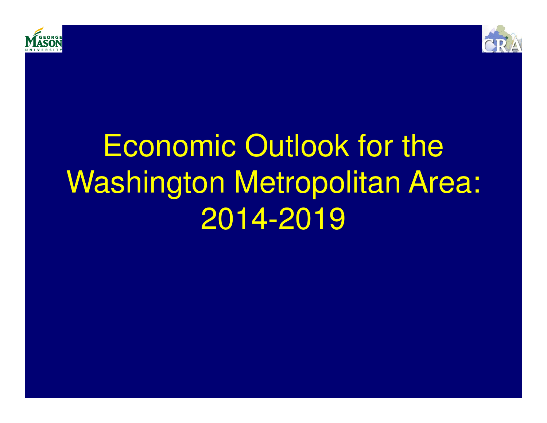



## Economic Outlook for the Washington Metropolitan Area:2014-2019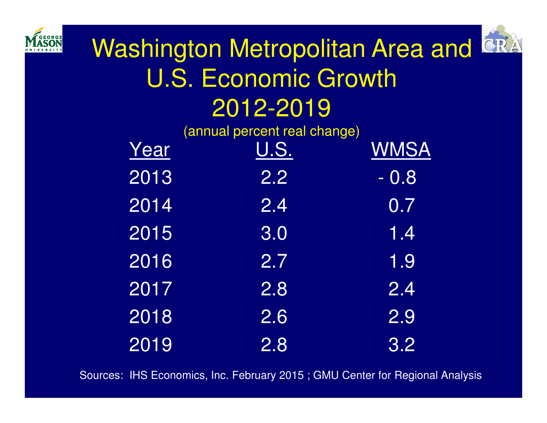



Washington Metropolitan Area and CRA U.S. Economic Growth2012-2019

|      | (annual percent real change) |             |
|------|------------------------------|-------------|
| Year | U.S.                         | <b>WMSA</b> |
| 2013 | 2.2                          | $-0.8$      |
| 2014 | 2.4                          | 0.7         |
| 2015 | 3.0                          | 1.4         |
| 2016 | 2.7                          | 1.9         |
| 2017 | 2.8                          | 2.4         |
| 2018 | $\overline{2.6}$             | 2.9         |
| 2019 | 2.8                          | 3.2         |

Sources: IHS Economics, Inc. February 2015 ; GMU Center for Regional Analysis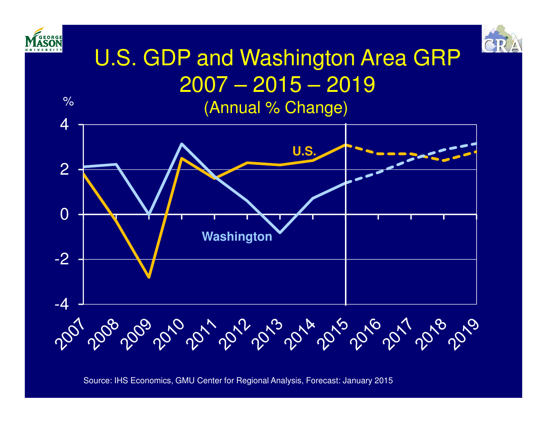

 $\frac{1}{\sqrt{2}}$ 



## U.S. GDP and Washington Area GRP 2007 – 2015 – 2019(Annual % Change)



Source: IHS Economics, GMU Center for Regional Analysis, Forecast: January 2015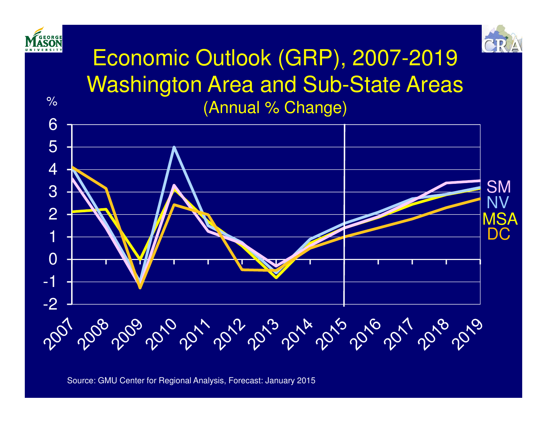

Source: GMU Center for Regional Analysis, Forecast: January 2015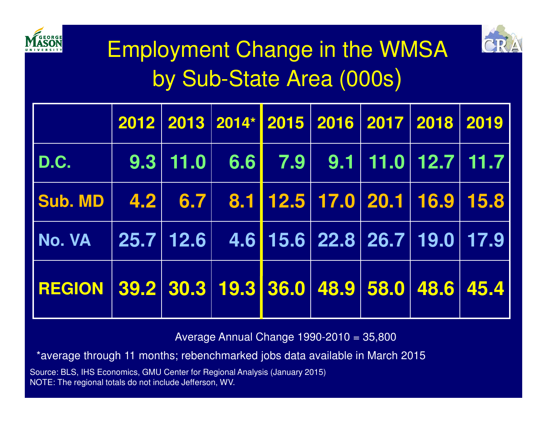



## Employment Change in the WMSAby Sub-State Area (000s)

|                                                                    |  | 2012 2013 2014* 2015 2016 2017 2018 2019 |  |  |  |
|--------------------------------------------------------------------|--|------------------------------------------|--|--|--|
| D.C.                                                               |  |                                          |  |  |  |
| Sub. MD   $4.2$   $6.7$   $8.1$   12.5   17.0   20.1   16.9   15.8 |  |                                          |  |  |  |
| No. VA 25.7 12.6 4.6 15.6 22.8 26.7 19.0 17.9                      |  |                                          |  |  |  |
| REGION 39.2 30.3 19.3 36.0 48.9 58.0 48.6 45.4                     |  |                                          |  |  |  |

Average Annual Change 1990-2010 = 35,800

\*average through 11 months; rebenchmarked jobs data available in March 2015

Source: BLS, IHS Economics, GMU Center for Regional Analysis (January 2015)NOTE: The regional totals do not include Jefferson, WV.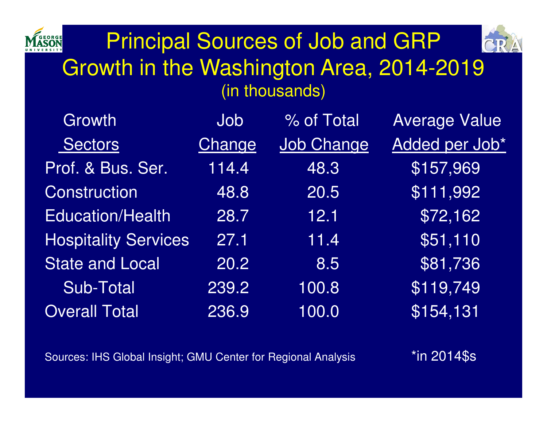

## Principal Sources of Job and GRP Growth in the Washington Area, 2014-2019(in thousands)

| <b>Growth</b>               | Job    | % of Total        | <b>Average Value</b> |
|-----------------------------|--------|-------------------|----------------------|
| Sectors                     | Change | <b>Job Change</b> | Added per Job*       |
| Prof. & Bus. Ser.           | 114.4  | 48.3              | \$157,969            |
| Construction                | 48.8   | 20.5              | \$111,992            |
| <b>Education/Health</b>     | 28.7   | 12.1              | \$72,162             |
| <b>Hospitality Services</b> | 27.1   | 11.4              | \$51,110             |
| <b>State and Local</b>      | 20.2   | 8.5               | \$81,736             |
| Sub-Total                   | 239.2  | 100.8             | \$119,749            |
| <b>Overall Total</b>        | 236.9  | 100.0             | \$154,131            |

Sources: IHS Global Insight; GMU Center for Regional Analysis

\*in 2014\$s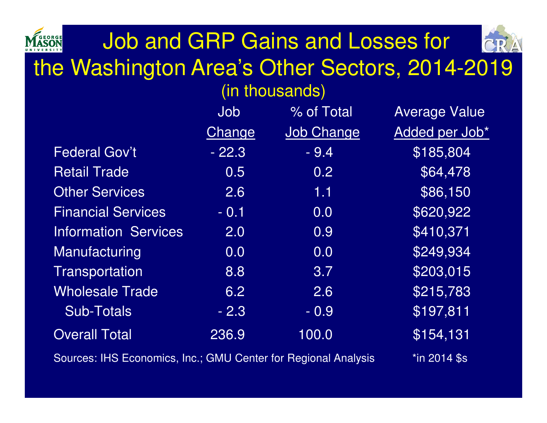## Job and GRP Gains and Losses for the Washington Area's Other Sectors, 2014-2019 (in thousands)

|                                                               | Job                                             | % of Total        | <b>Average Value</b> |
|---------------------------------------------------------------|-------------------------------------------------|-------------------|----------------------|
|                                                               | Change                                          | <b>Job Change</b> | Added per Job*       |
| <b>Federal Gov't</b>                                          | $-22.3$                                         | $-9.4$            | \$185,804            |
| <b>Retail Trade</b>                                           | 0.5                                             | 0.2               | \$64,478             |
| <b>Other Services</b>                                         | 2.6                                             | 1.1               | \$86,150             |
| <b>Financial Services</b>                                     | $-0.1$                                          | 0.0               | \$620,922            |
| <b>Information Services</b>                                   | 2.0                                             | 0.9               | \$410,371            |
| Manufacturing                                                 | 0.0                                             | 0.0               | \$249,934            |
| Transportation                                                | 8.8                                             | 3.7               | \$203,015            |
| <b>Wholesale Trade</b>                                        | 6.2                                             | 2.6               | \$215,783            |
| <b>Sub-Totals</b>                                             | $-2.3$                                          | $-0.9$            | \$197,811            |
| <b>Overall Total</b>                                          | 236.9                                           | 100.0             | $\sqrt{5154, 131}$   |
| Courage UIC Feanamica Ing : CMIL Contar for Degional Anglysia | $\star$ : $\sim$ $\cap$ $\sim$ $\Lambda$ $\sim$ |                   |                      |

Sources: IHS Economics, Inc.; GIVIU Center for Regional Analysis \*in 2014 \$s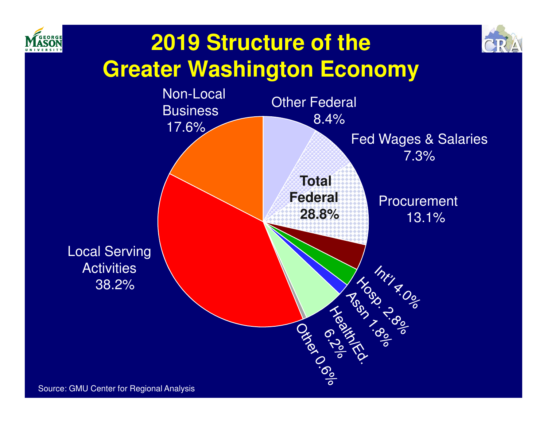



## **2019 Structure of the Greater Washington Economy**